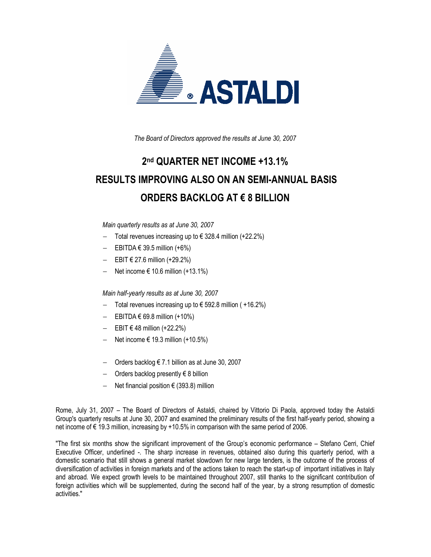

The Board of Directors approved the results at June 30, 2007

# 2 nd QUARTER NET INCOME +13.1% RESULTS IMPROVING ALSO ON AN SEMI-ANNUAL BASIS ORDERS BACKLOG AT € 8 BILLION

Main quarterly results as at June 30, 2007

- − Total revenues increasing up to € 328.4 million (+22.2%)
- EBITDA  $€ 39.5$  million  $(+6%)$
- − EBIT € 27.6 million (+29.2%)
- − Net income € 10.6 million (+13.1%)

Main half-yearly results as at June 30, 2007

- − Total revenues increasing up to € 592.8 million ( +16.2%)
- − EBITDA € 69.8 million (+10%)
- − EBIT € 48 million (+22.2%)
- − Net income € 19.3 million (+10.5%)
- − Orders backlog € 7.1 billion as at June 30, 2007
- − Orders backlog presently € 8 billion
- − Net financial position € (393.8) million

Rome, July 31, 2007 – The Board of Directors of Astaldi, chaired by Vittorio Di Paola, approved today the Astaldi Group's quarterly results at June 30, 2007 and examined the preliminary results of the first half-yearly period, showing a net income of € 19.3 million, increasing by +10.5% in comparison with the same period of 2006.

"The first six months show the significant improvement of the Group's economic performance – Stefano Cerri, Chief Executive Officer, underlined -. The sharp increase in revenues, obtained also during this quarterly period, with a domestic scenario that still shows a general market slowdown for new large tenders, is the outcome of the process of diversification of activities in foreign markets and of the actions taken to reach the start-up of important initiatives in Italy and abroad. We expect growth levels to be maintained throughout 2007, still thanks to the significant contribution of foreign activities which will be supplemented, during the second half of the year, by a strong resumption of domestic activities."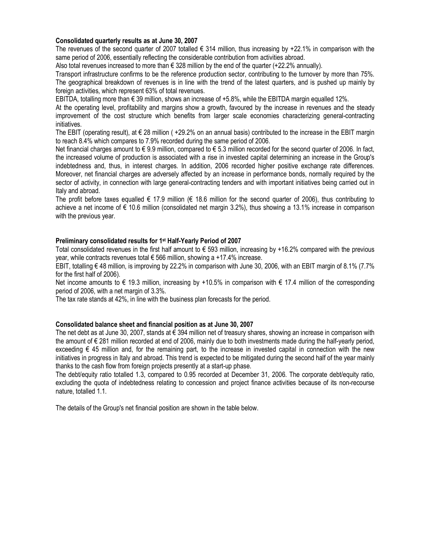#### Consolidated quarterly results as at June 30, 2007

The revenues of the second quarter of 2007 totalled  $\epsilon$  314 million, thus increasing by +22.1% in comparison with the same period of 2006, essentially reflecting the considerable contribution from activities abroad.

Also total revenues increased to more than  $\epsilon$  328 million by the end of the quarter (+22.2% annually).

Transport infrastructure confirms to be the reference production sector, contributing to the turnover by more than 75%. The geographical breakdown of revenues is in line with the trend of the latest quarters, and is pushed up mainly by foreign activities, which represent 63% of total revenues.

EBITDA, totalling more than € 39 million, shows an increase of +5.8%, while the EBITDA margin equalled 12%.

At the operating level, profitability and margins show a growth, favoured by the increase in revenues and the steady improvement of the cost structure which benefits from larger scale economies characterizing general-contracting initiatives.

The EBIT (operating result), at  $\epsilon$  28 million (+29.2% on an annual basis) contributed to the increase in the EBIT margin to reach 8.4% which compares to 7.9% recorded during the same period of 2006.

Net financial charges amount to € 9.9 million, compared to € 5.3 million recorded for the second quarter of 2006. In fact, the increased volume of production is associated with a rise in invested capital determining an increase in the Group's indebtedness and, thus, in interest charges. In addition, 2006 recorded higher positive exchange rate differences. Moreover, net financial charges are adversely affected by an increase in performance bonds, normally required by the sector of activity, in connection with large general-contracting tenders and with important initiatives being carried out in Italy and abroad.

The profit before taxes equalled  $\epsilon$  17.9 million ( $\epsilon$  18.6 million for the second quarter of 2006), thus contributing to achieve a net income of € 10.6 million (consolidated net margin 3.2%), thus showing a 13.1% increase in comparison with the previous year.

#### Preliminary consolidated results for 1st Half-Yearly Period of 2007

Total consolidated revenues in the first half amount to € 593 million, increasing by +16.2% compared with the previous year, while contracts revenues total  $\epsilon$  566 million, showing a +17.4% increase.

EBIT, totalling € 48 million, is improving by 22.2% in comparison with June 30, 2006, with an EBIT margin of 8.1% (7.7% for the first half of 2006).

Net income amounts to € 19.3 million, increasing by +10.5% in comparison with € 17.4 million of the corresponding period of 2006, with a net margin of 3.3%.

The tax rate stands at 42%, in line with the business plan forecasts for the period.

#### Consolidated balance sheet and financial position as at June 30, 2007

The net debt as at June 30, 2007, stands at € 394 million net of treasury shares, showing an increase in comparison with the amount of € 281 million recorded at end of 2006, mainly due to both investments made during the half-yearly period, exceeding € 45 million and, for the remaining part, to the increase in invested capital in connection with the new initiatives in progress in Italy and abroad. This trend is expected to be mitigated during the second half of the year mainly thanks to the cash flow from foreign projects presently at a start-up phase.

The debt/equity ratio totalled 1.3, compared to 0.95 recorded at December 31, 2006. The corporate debt/equity ratio, excluding the quota of indebtedness relating to concession and project finance activities because of its non-recourse nature, totalled 1.1.

The details of the Group's net financial position are shown in the table below.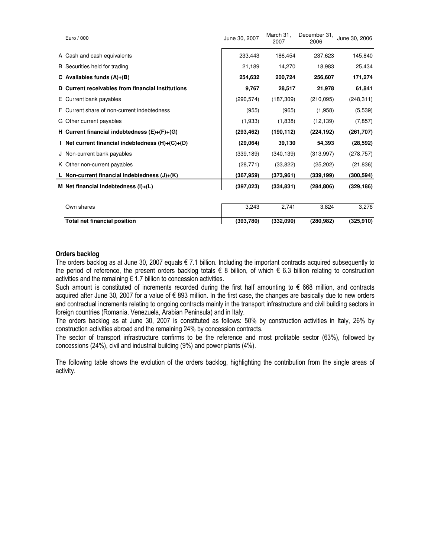| Euro / 000                                         | June 30, 2007 | March 31,<br>2007 | December 31,<br>2006 | June 30, 2006 |
|----------------------------------------------------|---------------|-------------------|----------------------|---------------|
| A Cash and cash equivalents                        | 233,443       | 186,454           | 237,623              | 145,840       |
| B Securities held for trading                      | 21,189        | 14,270            | 18,983               | 25,434        |
| C Availables funds $(A)+(B)$                       | 254,632       | 200,724           | 256,607              | 171,274       |
| D Current receivables from financial institutions  | 9,767         | 28,517            | 21,978               | 61,841        |
| E Current bank payables                            | (290, 574)    | (187, 309)        | (210,095)            | (248, 311)    |
| F. Current share of non-current indebtedness       | (955)         | (965)             | (1,958)              | (5,539)       |
| G Other current payables                           | (1,933)       | (1,838)           | (12, 139)            | (7, 857)      |
| H Current financial indebtedness $(E)+(F)+(G)$     | (293, 462)    | (190, 112)        | (224, 192)           | (261, 707)    |
| I Net current financial indebtedness $(H)+(C)+(D)$ | (29,064)      | 39,130            | 54,393               | (28, 592)     |
| J Non-current bank payables                        | (339, 189)    | (340, 139)        | (313, 997)           | (278, 757)    |
| K Other non-current payables                       | (28, 771)     | (33, 822)         | (25, 202)            | (21, 836)     |
| L Non-current financial indebtedness $(J)+(K)$     | (367,959)     | (373,961)         | (339, 199)           | (300, 594)    |
| M Net financial indebtedness $(I)+(L)$             | (397, 023)    | (334, 831)        | (284, 806)           | (329, 186)    |
|                                                    |               |                   |                      |               |
| Own shares                                         | 3,243         | 2,741             | 3,824                | 3,276         |
| <b>Total net financial position</b>                | (393,780)     | (332,090)         | (280, 982)           | (325, 910)    |

#### Orders backlog

The orders backlog as at June 30, 2007 equals  $\epsilon$  7.1 billion. Including the important contracts acquired subsequently to the period of reference, the present orders backlog totals  $\epsilon$  8 billion, of which  $\epsilon$  6.3 billion relating to construction activities and the remaining  $\epsilon$  1.7 billion to concession activities.

Such amount is constituted of increments recorded during the first half amounting to € 668 million, and contracts acquired after June 30, 2007 for a value of € 893 million. In the first case, the changes are basically due to new orders and contractual increments relating to ongoing contracts mainly in the transport infrastructure and civil building sectors in foreign countries (Romania, Venezuela, Arabian Peninsula) and in Italy.

The orders backlog as at June 30, 2007 is constituted as follows: 50% by construction activities in Italy, 26% by construction activities abroad and the remaining 24% by concession contracts.

The sector of transport infrastructure confirms to be the reference and most profitable sector (63%), followed by concessions (24%), civil and industrial building (9%) and power plants (4%).

The following table shows the evolution of the orders backlog, highlighting the contribution from the single areas of activity.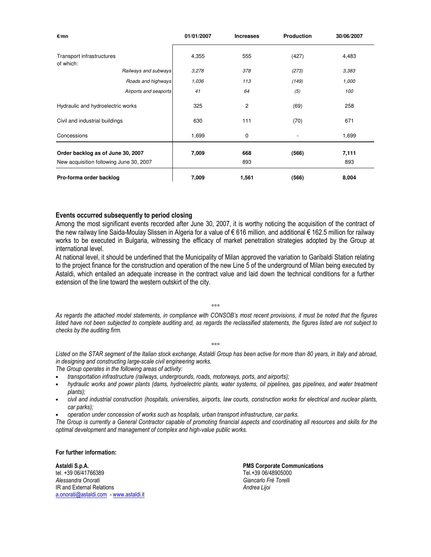| €/mn                                    |                       | 01/01/2007 | <b>Increases</b> | <b>Production</b> | 30/06/2007 |
|-----------------------------------------|-----------------------|------------|------------------|-------------------|------------|
| Transport infrastructures<br>of which:  |                       | 4,355      | 555              | (427)             | 4,483      |
|                                         | Railways and subways  | 3,278      | 378              | (273)             | 3,383      |
|                                         | Roads and highways    | 1,036      | 113              | (149)             | 1,000      |
|                                         | Airports and seaports | 41         | 64               | (5)               | 100        |
| Hydraulic and hydroelectric works       |                       | 325        | $\overline{c}$   | (69)              | 258        |
| Civil and industrial buildings          |                       | 630        | 111              | (70)              | 671        |
| Concessions                             |                       | 1,699      | 0                |                   | 1,699      |
| Order backlog as of June 30, 2007       |                       | 7,009      | 668              | (566)             | 7,111      |
| New acquisition following June 30, 2007 |                       |            | 893              |                   | 893        |
| Pro-forma order backlog                 |                       | 7,009      | 1,561            | (566)             | 8,004      |

#### Events occurred subsequently to period closing

Among the most significant events recorded after June 30, 2007, it is worthy noticing the acquisition of the contract of the new railway line Saida-Moulay Slissen in Algeria for a value of € 616 million, and additional € 162.5 million for railway works to be executed in Bulgaria, witnessing the efficacy of market penetration strategies adopted by the Group at international level.

At national level, it should be underlined that the Municipality of Milan approved the variation to Garibaldi Station relating to the project finance for the construction and operation of the new Line 5 of the underground of Milan being executed by Astaldi, which entailed an adequate increase in the contract value and laid down the technical conditions for a further extension of the line toward the western outskirt of the city.

°°°

As regards the attached model statements, in compliance with CONSOB's most recent provisions, it must be noted that the figures listed have not been subjected to complete auditing and, as regards the reclassified statements, the figures listed are not subject to checks by the auditing firm.

 $000$ 

Listed on the STAR segment of the Italian stock exchange, Astaldi Group has been active for more than 80 years, in Italy and abroad, in designing and constructing large-scale civil engineering works.

The Group operates in the following areas of activity:

- transportation infrastructure (railways, undergrounds, roads, motorways, ports, and airports);
- hydraulic works and power plants (dams, hydroelectric plants, water systems, oil pipelines, gas pipelines, and water treatment plants);
- civil and industrial construction (hospitals, universities, airports, law courts, construction works for electrical and nuclear plants, car parks);
- operation under concession of works such as hospitals, urban transport infrastructure, car parks.

The Group is currently a General Contractor capable of promoting financial aspects and coordinating all resources and skills for the optimal development and management of complex and high-value public works.

For further information:

Astaldi S.p.A. **PMS Corporate Communications** tel. +39 06/41766389 Tel.+39 06/48905000 Alessandra Onorati alianza da anti-analismo de la conservación de la Giancarlo Frè Torelli (Giancarlo Frè Torelli<br>IR and External Relations IR and External Relations a.onorati@astaldi.com - www.astaldi.it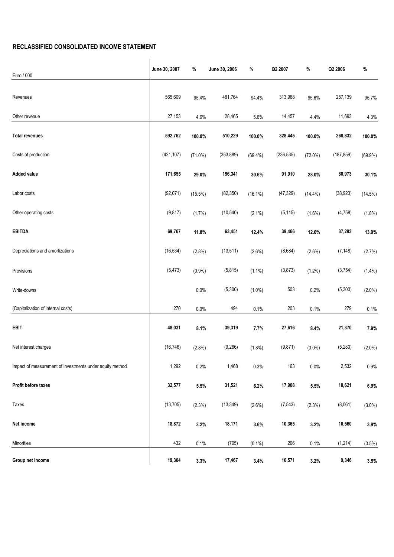### RECLASSIFIED CONSOLIDATED INCOME STATEMENT

| Euro / 000                                               | June 30, 2007 | %          | June 30, 2006 | %          | Q2 2007    | $\%$       | Q2 2006    | %         |
|----------------------------------------------------------|---------------|------------|---------------|------------|------------|------------|------------|-----------|
|                                                          |               |            |               |            |            |            |            |           |
| Revenues                                                 | 565,609       | 95.4%      | 481,764       | 94.4%      | 313,988    | 95.6%      | 257,139    | 95.7%     |
| Other revenue                                            | 27,153        | 4.6%       | 28,465        | 5.6%       | 14,457     | 4.4%       | 11,693     | 4.3%      |
| <b>Total revenues</b>                                    | 592,762       | 100.0%     | 510,229       | 100.0%     | 328,445    | 100.0%     | 268,832    | 100.0%    |
| Costs of production                                      | (421, 107)    | $(71.0\%)$ | (353, 889)    | $(69.4\%)$ | (236, 535) | $(72.0\%)$ | (187, 859) | (69.9%)   |
| <b>Added value</b>                                       | 171,655       | 29.0%      | 156,341       | 30.6%      | 91,910     | 28.0%      | 80,973     | 30.1%     |
| Labor costs                                              | (92,071)      | $(15.5\%)$ | (82, 350)     | $(16.1\%)$ | (47, 329)  | $(14.4\%)$ | (38, 923)  | (14.5%)   |
| Other operating costs                                    | (9, 817)      | (1.7%)     | (10, 540)     | $(2.1\%)$  | (5, 115)   | $(1.6\%)$  | (4, 758)   | (1.8%)    |
| <b>EBITDA</b>                                            | 69,767        | 11.8%      | 63,451        | 12.4%      | 39,466     | 12.0%      | 37,293     | 13.9%     |
| Depreciations and amortizations                          | (16, 534)     | (2.8%)     | (13, 511)     | $(2.6\%)$  | (8,684)    | $(2.6\%)$  | (7, 148)   | (2.7%)    |
| Provisions                                               | (5, 473)      | $(0.9\%)$  | (5,815)       | $(1.1\%)$  | (3,873)    | (1.2%)     | (3, 754)   | $(1.4\%)$ |
| Write-downs                                              |               | 0.0%       | (5,300)       | $(1.0\%)$  | 503        | 0.2%       | (5,300)    | $(2.0\%)$ |
| (Capitalization of internal costs)                       | 270           | 0.0%       | 494           | 0.1%       | 203        | 0.1%       | 279        | 0.1%      |
| <b>EBIT</b>                                              | 48,031        | 8.1%       | 39,319        | 7.7%       | 27,616     | 8.4%       | 21,370     | 7.9%      |
| Net interest charges                                     | (16, 746)     | $(2.8\%)$  | (9,266)       | (1.8%)     | (9, 871)   | $(3.0\%)$  | (5, 280)   | $(2.0\%)$ |
| Impact of measurement of investments under equity method | 1,292         | 0.2%       | 1,468         | 0.3%       | 163        | 0.0%       | 2,532      | 0.9%      |
| Profit before taxes                                      | 32,577        | 5.5%       | 31,521        | 6.2%       | 17,908     | 5.5%       | 18,621     | 6.9%      |
| Taxes                                                    | (13, 705)     | (2.3%)     | (13, 349)     | (2.6%)     | (7, 543)   | (2.3%)     | (8,061)    | $(3.0\%)$ |
| Net income                                               | 18,872        | 3.2%       | 18,171        | 3.6%       | 10,365     | 3.2%       | 10,560     | 3.9%      |
| Minorities                                               | 432           | 0.1%       | (705)         | $(0.1\%)$  | 206        | 0.1%       | (1, 214)   | $(0.5\%)$ |
| Group net income                                         | 19,304        | 3.3%       | 17,467        | 3.4%       | 10,571     | 3.2%       | 9,346      | 3.5%      |